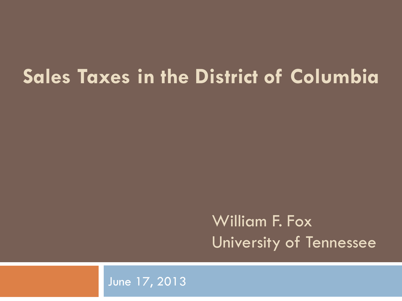#### **Sales Taxes in the District of Columbia**

#### William F. Fox University of Tennessee

#### June 17, 2013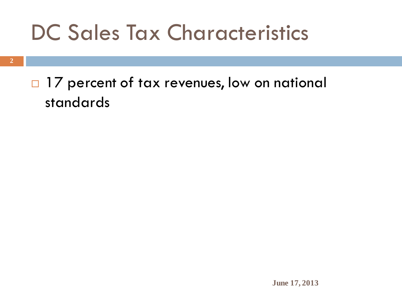## DC Sales Tax Characteristics

#### □ 17 percent of tax revenues, low on national standards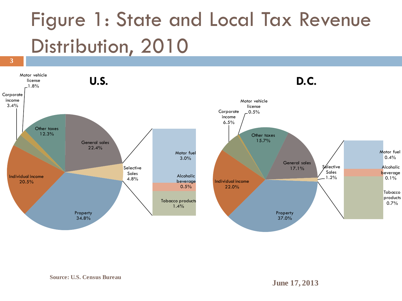## Figure 1: State and Local Tax Revenue Distribution, 2010

**3**

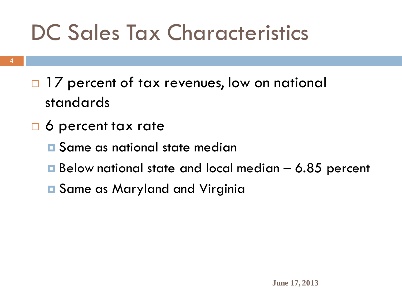## DC Sales Tax Characteristics

- □ 17 percent of tax revenues, low on national standards
- □ 6 percent tax rate
	- **E** Same as national state median
	- $\blacksquare$  Below national state and local median  $-$  6.85 percent
	- **E** Same as Maryland and Virginia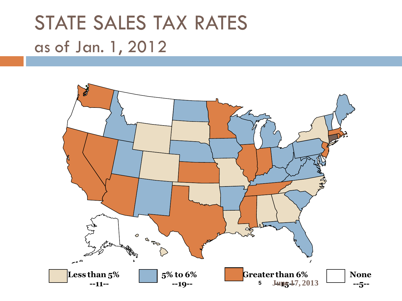#### STATE SALES TAX RATES as of Jan. 1, 2012

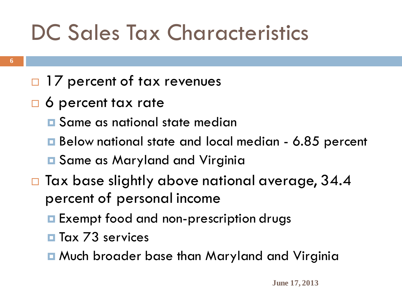## DC Sales Tax Characteristics

#### □ 17 percent of tax revenues

- □ 6 percent tax rate
	- **E** Same as national state median
	- Below national state and local median 6.85 percent

**E** Same as Maryland and Virginia

- $\Box$  Tax base slightly above national average, 34.4 percent of personal income
	- **Exempt food and non-prescription drugs**
	- **Tax 73 services**
	- **n** Much broader base than Maryland and Virginia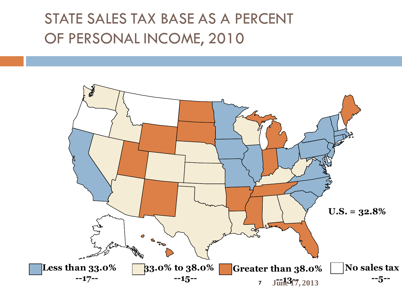#### STATE SALES TAX BASE AS A PERCENT OF PERSONAL INCOME, 2010

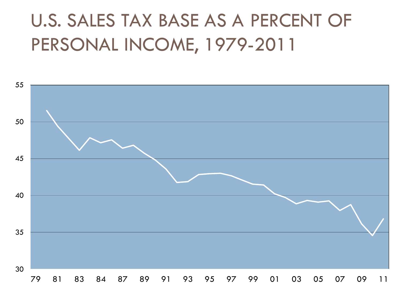#### U.S. SALES TAX BASE AS A PERCENT OF PERSONAL INCOME, 1979-2011

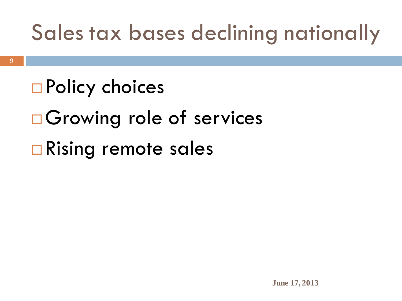## Sales tax bases declining nationally

# **□ Policy choices Growing role of services □ Rising remote sales**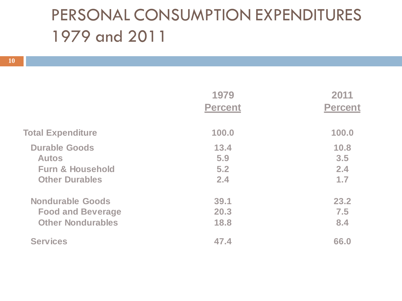#### PERSONAL CONSUMPTION EXPENDITURES 1979 and 2011

|                             | 1979<br><b>Percent</b> | 2011<br><b>Percent</b> |
|-----------------------------|------------------------|------------------------|
|                             |                        |                        |
| <b>Total Expenditure</b>    | 100.0                  | 100.0                  |
| <b>Durable Goods</b>        | 13.4                   | 10.8                   |
| <b>Autos</b>                | 5.9                    | 3.5                    |
| <b>Furn &amp; Household</b> | 5.2                    | 2.4                    |
| <b>Other Durables</b>       | 2.4                    | 1.7                    |
| <b>Nondurable Goods</b>     | 39.1                   | 23.2                   |
| <b>Food and Beverage</b>    | 20.3                   | 7.5                    |
| <b>Other Nondurables</b>    | 18.8                   | 8.4                    |
| <b>Services</b>             | 47.4                   | 66.0                   |
|                             |                        |                        |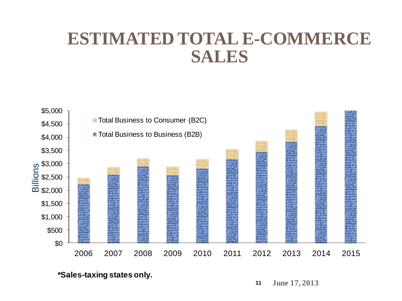#### **ESTIMATED TOTAL E-COMMERCE SALES**



**\*Sales-taxing states only.**

**11 June 17, 2013**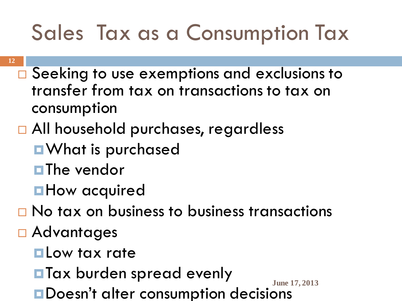## Sales Tax as a Consumption Tax

- **12**
	- $\Box$  Seeking to use exemptions and exclusions to transfer from tax on transactions to tax on consumption
	- □ All household purchases, regardless
		- **Nat is purchased**
		- **The vendor**
		- **How acquired**
	- $\Box$  No tax on business to business transactions
	- Advantages
		- **Low tax rate**
		- **Tax burden spread evenly**
		- **June 17, 2013 ODDESN't alter consumption decisions**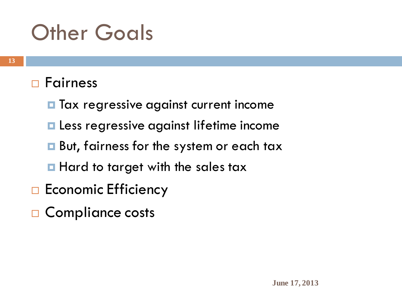### **Other Goals**

#### □ Fairness

- **T** Tax regressive against current income
- **Less regressive against lifetime income**
- **But, fairness for the system or each tax**
- **Hard to target with the sales tax**
- $\Box$  Economic Efficiency
- □ Compliance costs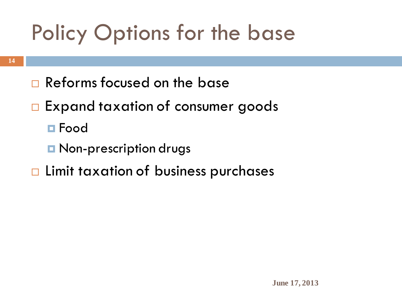## Policy Options for the base

- Reforms focused on the base
- $\Box$  Expand taxation of consumer goods
	- **□** Food
	- **D** Non-prescription drugs
- $\Box$  Limit taxation of business purchases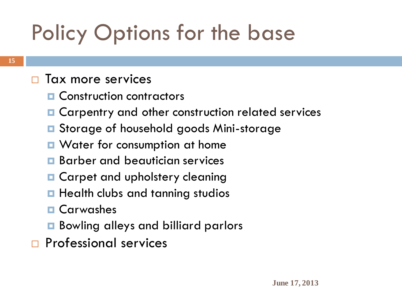## Policy Options for the base

#### $\Box$  Tax more services

- **E** Construction contractors
- **□** Carpentry and other construction related services
- **□** Storage of household goods Mini-storage
- Water for consumption at home
- **Barber and beautician services**
- **Q** Carpet and upholstery cleaning
- **Health clubs and tanning studios**
- **D** Carwashes
- Bowling alleys and billiard parlors
- **Professional services**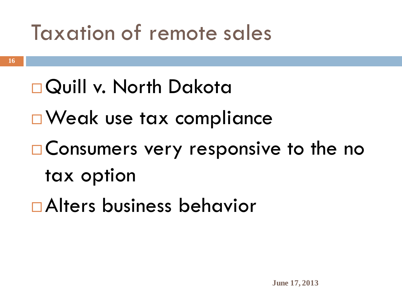### Taxation of remote sales

#### Quill v. North Dakota

- □ Weak use tax compliance
- Consumers very responsive to the no tax option
- Alters business behavior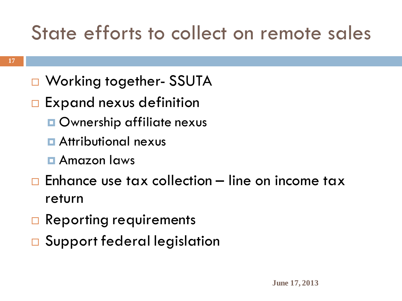#### State efforts to collect on remote sales

- □ Working together- SSUTA
- $\Box$  Expand nexus definition
	- **Ownership affiliate nexus**
	- **<u>n</u>** Attributional nexus
	- Amazon laws
- $\Box$  Enhance use tax collection line on income tax return
- $\Box$  Reporting requirements
- **□** Support federal legislation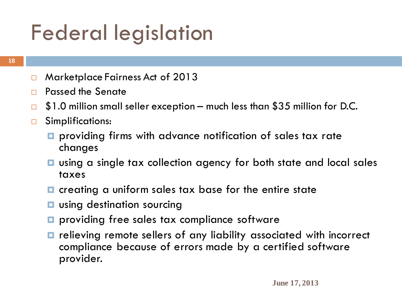## Federal legislation

#### **18**

- □ Marketplace Fairness Act of 2013
- Passed the Senate
- $\Box$  \$1.0 million small seller exception much less than \$35 million for D.C.
- □ Simplifications:
	- **P** providing firms with advance notification of sales tax rate changes
	- **□** using a single tax collection agency for both state and local sales taxes
	- $\blacksquare$  creating a uniform sales tax base for the entire state
	- **u** using destination sourcing
	- **P** providing free sales tax compliance software
	- $\blacksquare$  relieving remote sellers of any liability associated with incorrect compliance because of errors made by a certified software provider.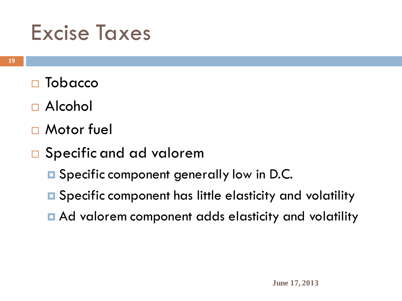#### Excise Taxes

- □ Tobacco
- □ Alcohol
- □ Motor fuel
- □ Specific and ad valorem
	- **E** Specific component generally low in D.C.
	- **□** Specific component has little elasticity and volatility
	- Ad valorem component adds elasticity and volatility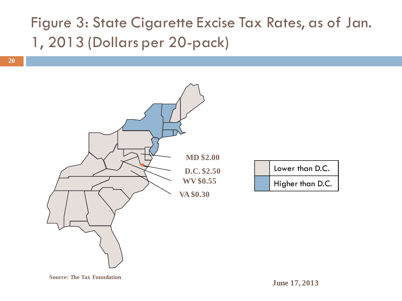#### Figure 3: State Cigarette Excise Tax Rates, as of Jan. 1, 2013 (Dollars per 20-pack)

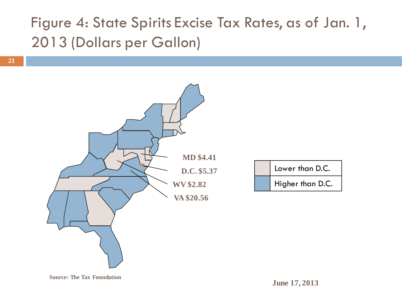#### Figure 4: State Spirits Excise Tax Rates, as of Jan. 1, 2013 (Dollars per Gallon)

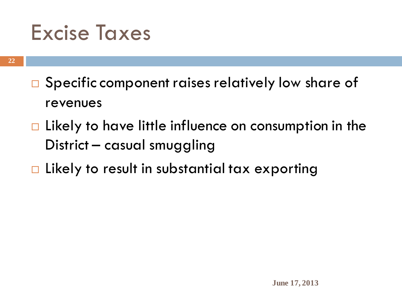#### Excise Taxes

- $\Box$  Specific component raises relatively low share of revenues
- $\Box$  Likely to have little influence on consumption in the District – casual smuggling
- □ Likely to result in substantial tax exporting